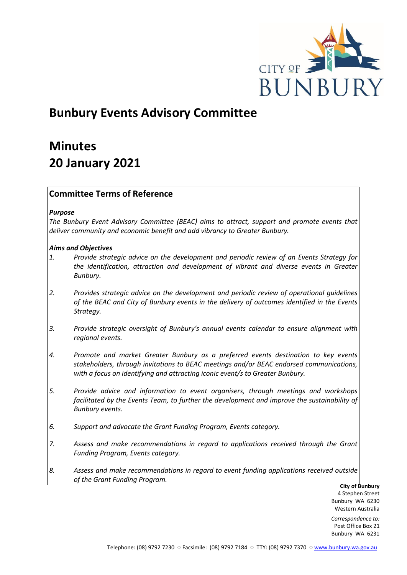

# **Bunbury Events Advisory Committee**

# **Minutes 20 January 2021**

# **Committee Terms of Reference**

#### *Purpose*

*The Bunbury Event Advisory Committee (BEAC) aims to attract, support and promote events that deliver community and economic benefit and add vibrancy to Greater Bunbury.*

# *Aims and Objectives*

- *1. Provide strategic advice on the development and periodic review of an Events Strategy for the identification, attraction and development of vibrant and diverse events in Greater Bunbury.*
- *2. Provides strategic advice on the development and periodic review of operational guidelines of the BEAC and City of Bunbury events in the delivery of outcomes identified in the Events Strategy.*
- *3. Provide strategic oversight of Bunbury's annual events calendar to ensure alignment with regional events.*
- *4. Promote and market Greater Bunbury as a preferred events destination to key events stakeholders, through invitations to BEAC meetings and/or BEAC endorsed communications, with a focus on identifying and attracting iconic event/s to Greater Bunbury.*
- *5. Provide advice and information to event organisers, through meetings and workshops*  facilitated by the Events Team, to further the development and improve the sustainability of *Bunbury events.*
- *6. Support and advocate the Grant Funding Program, Events category.*
- *7. Assess and make recommendations in regard to applications received through the Grant Funding Program, Events category.*
- *8. Assess and make recommendations in regard to event funding applications received outside of the Grant Funding Program.*

**City of Bunbury** 4 Stephen Street Bunbury WA 6230 Western Australia

*Correspondence to:* Post Office Box 21 Bunbury WA 6231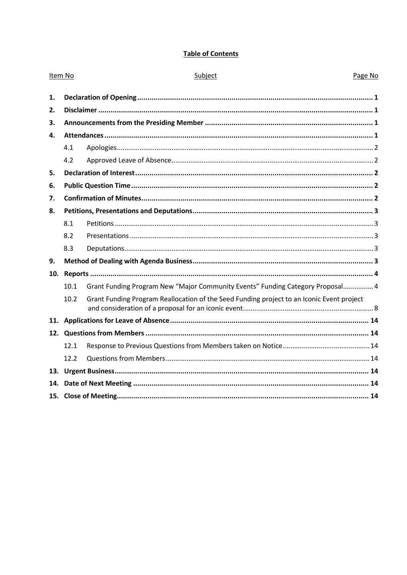# **Table of Contents**

| Item No |      | Subject                                                                                   | Page No |
|---------|------|-------------------------------------------------------------------------------------------|---------|
| 1.      |      |                                                                                           |         |
| 2.      |      |                                                                                           |         |
| 3.      |      |                                                                                           |         |
| 4.      |      |                                                                                           |         |
|         | 4.1  |                                                                                           |         |
|         | 4.2  |                                                                                           |         |
| 5.      |      |                                                                                           |         |
| 6.      |      |                                                                                           |         |
| 7.      |      |                                                                                           |         |
| 8.      |      |                                                                                           |         |
|         | 8.1  |                                                                                           |         |
|         | 8.2  |                                                                                           |         |
|         | 8.3  |                                                                                           |         |
| 9.      |      |                                                                                           |         |
|         |      |                                                                                           |         |
|         | 10.1 | Grant Funding Program New "Major Community Events" Funding Category Proposal 4            |         |
|         | 10.2 | Grant Funding Program Reallocation of the Seed Funding project to an Iconic Event project |         |
|         |      |                                                                                           |         |
|         |      |                                                                                           |         |
|         | 12.1 |                                                                                           |         |
|         | 12.2 |                                                                                           |         |
|         |      |                                                                                           |         |
| 14.     |      |                                                                                           |         |
|         |      |                                                                                           |         |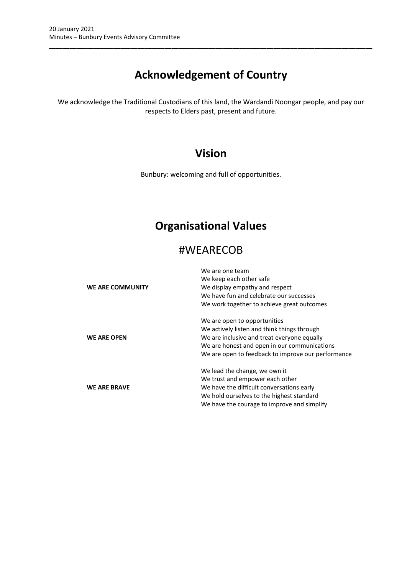# **Acknowledgement of Country**

\_\_\_\_\_\_\_\_\_\_\_\_\_\_\_\_\_\_\_\_\_\_\_\_\_\_\_\_\_\_\_\_\_\_\_\_\_\_\_\_\_\_\_\_\_\_\_\_\_\_\_\_\_\_\_\_\_\_\_\_\_\_\_\_\_\_\_\_\_\_\_\_\_\_\_\_\_\_\_\_\_\_\_\_\_\_\_\_\_\_\_\_\_\_\_

We acknowledge the Traditional Custodians of this land, the Wardandi Noongar people, and pay our respects to Elders past, present and future.

# **Vision**

Bunbury: welcoming and full of opportunities.

# **Organisational Values**

# #WEARECOB

| <b>WE ARE COMMUNITY</b> | We are one team<br>We keep each other safe<br>We display empathy and respect<br>We have fun and celebrate our successes<br>We work together to achieve great outcomes                                                            |
|-------------------------|----------------------------------------------------------------------------------------------------------------------------------------------------------------------------------------------------------------------------------|
| <b>WE ARE OPEN</b>      | We are open to opportunities<br>We actively listen and think things through<br>We are inclusive and treat everyone equally<br>We are honest and open in our communications<br>We are open to feedback to improve our performance |
| <b>WE ARE BRAVE</b>     | We lead the change, we own it<br>We trust and empower each other<br>We have the difficult conversations early<br>We hold ourselves to the highest standard<br>We have the courage to improve and simplify                        |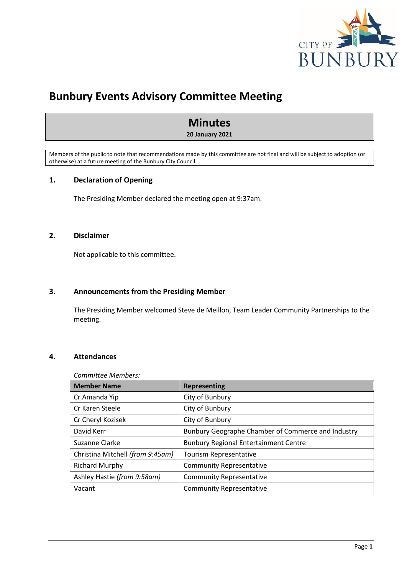

# **Bunbury Events Advisory Committee Meeting**

# **Minutes**

#### **20 January 2021**

Members of the public to note that recommendations made by this committee are not final and will be subject to adoption (or otherwise) at a future meeting of the Bunbury City Council.

# <span id="page-3-0"></span>**1. Declaration of Opening**

The Presiding Member declared the meeting open at 9:37am.

# <span id="page-3-1"></span>**2. Disclaimer**

Not applicable to this committee.

#### <span id="page-3-2"></span>**3. Announcements from the Presiding Member**

The Presiding Member welcomed Steve de Meillon, Team Leader Community Partnerships to the meeting.

# <span id="page-3-3"></span>**4. Attendances**

#### *Committee Members:*

| <b>Member Name</b>               | <b>Representing</b>                                |  |
|----------------------------------|----------------------------------------------------|--|
| Cr Amanda Yip                    | City of Bunbury                                    |  |
| Cr Karen Steele                  | City of Bunbury                                    |  |
| Cr Cheryl Kozisek                | City of Bunbury                                    |  |
| David Kerr                       | Bunbury Geographe Chamber of Commerce and Industry |  |
| Suzanne Clarke                   | <b>Bunbury Regional Entertainment Centre</b>       |  |
| Christina Mitchell (from 9:45am) | Tourism Representative                             |  |
| <b>Richard Murphy</b>            | <b>Community Representative</b>                    |  |
| Ashley Hastie (from 9:58am)      | <b>Community Representative</b>                    |  |
| Vacant                           | <b>Community Representative</b>                    |  |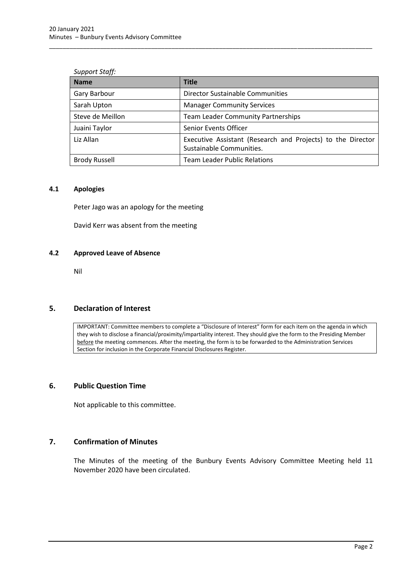| <b>Support Staff:</b> |  |
|-----------------------|--|
|-----------------------|--|

| <b>Name</b>          | <b>Title</b>                                                                            |  |
|----------------------|-----------------------------------------------------------------------------------------|--|
| Gary Barbour         | Director Sustainable Communities                                                        |  |
| Sarah Upton          | <b>Manager Community Services</b>                                                       |  |
| Steve de Meillon     | <b>Team Leader Community Partnerships</b>                                               |  |
| Juaini Taylor        | <b>Senior Events Officer</b>                                                            |  |
| Liz Allan            | Executive Assistant (Research and Projects) to the Director<br>Sustainable Communities. |  |
| <b>Brody Russell</b> | <b>Team Leader Public Relations</b>                                                     |  |

\_\_\_\_\_\_\_\_\_\_\_\_\_\_\_\_\_\_\_\_\_\_\_\_\_\_\_\_\_\_\_\_\_\_\_\_\_\_\_\_\_\_\_\_\_\_\_\_\_\_\_\_\_\_\_\_\_\_\_\_\_\_\_\_\_\_\_\_\_\_\_\_\_\_\_\_\_\_\_\_\_\_\_\_\_\_\_\_\_\_\_\_\_\_\_

#### <span id="page-4-0"></span>**4.1 Apologies**

Peter Jago was an apology for the meeting

David Kerr was absent from the meeting

#### <span id="page-4-1"></span>**4.2 Approved Leave of Absence**

Nil

#### <span id="page-4-2"></span>**5. Declaration of Interest**

IMPORTANT: Committee members to complete a "Disclosure of Interest" form for each item on the agenda in which they wish to disclose a financial/proximity/impartiality interest. They should give the form to the Presiding Member before the meeting commences. After the meeting, the form is to be forwarded to the Administration Services Section for inclusion in the Corporate Financial Disclosures Register.

# <span id="page-4-3"></span>**6. Public Question Time**

Not applicable to this committee.

# <span id="page-4-4"></span>**7. Confirmation of Minutes**

The Minutes of the meeting of the Bunbury Events Advisory Committee Meeting held 11 November 2020 have been circulated.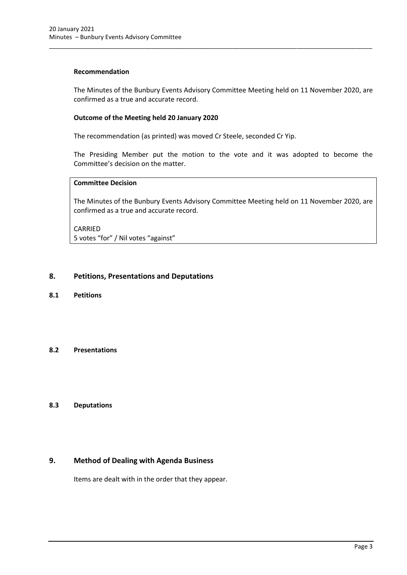#### **Recommendation**

The Minutes of the Bunbury Events Advisory Committee Meeting held on 11 November 2020, are confirmed as a true and accurate record.

\_\_\_\_\_\_\_\_\_\_\_\_\_\_\_\_\_\_\_\_\_\_\_\_\_\_\_\_\_\_\_\_\_\_\_\_\_\_\_\_\_\_\_\_\_\_\_\_\_\_\_\_\_\_\_\_\_\_\_\_\_\_\_\_\_\_\_\_\_\_\_\_\_\_\_\_\_\_\_\_\_\_\_\_\_\_\_\_\_\_\_\_\_\_\_

#### **Outcome of the Meeting held 20 January 2020**

The recommendation (as printed) was moved Cr Steele, seconded Cr Yip.

The Presiding Member put the motion to the vote and it was adopted to become the Committee's decision on the matter.

# **Committee Decision**

The Minutes of the Bunbury Events Advisory Committee Meeting held on 11 November 2020, are confirmed as a true and accurate record.

CARRIED 5 votes "for" / Nil votes "against"

#### <span id="page-5-0"></span>**8. Petitions, Presentations and Deputations**

<span id="page-5-1"></span>**8.1 Petitions**

#### <span id="page-5-2"></span>**8.2 Presentations**

#### <span id="page-5-3"></span>**8.3 Deputations**

# <span id="page-5-4"></span>**9. Method of Dealing with Agenda Business**

Items are dealt with in the order that they appear.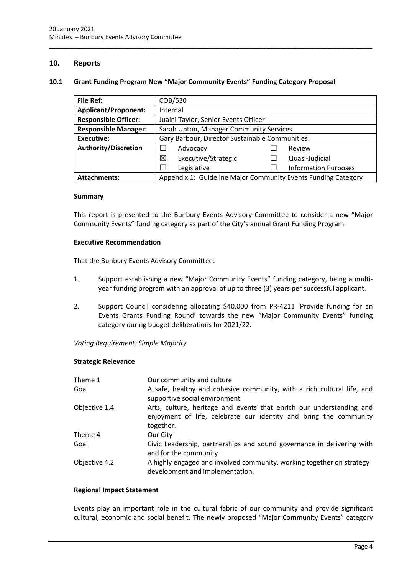# <span id="page-6-0"></span>**10. Reports**

#### <span id="page-6-1"></span>**10.1 Grant Funding Program New "Major Community Events" Funding Category Proposal**

\_\_\_\_\_\_\_\_\_\_\_\_\_\_\_\_\_\_\_\_\_\_\_\_\_\_\_\_\_\_\_\_\_\_\_\_\_\_\_\_\_\_\_\_\_\_\_\_\_\_\_\_\_\_\_\_\_\_\_\_\_\_\_\_\_\_\_\_\_\_\_\_\_\_\_\_\_\_\_\_\_\_\_\_\_\_\_\_\_\_\_\_\_\_\_

| <b>File Ref:</b>            | COB/530                                                       |  |                             |
|-----------------------------|---------------------------------------------------------------|--|-----------------------------|
| <b>Applicant/Proponent:</b> | Internal                                                      |  |                             |
| <b>Responsible Officer:</b> | Juaini Taylor, Senior Events Officer                          |  |                             |
| <b>Responsible Manager:</b> | Sarah Upton, Manager Community Services                       |  |                             |
| Executive:                  | Gary Barbour, Director Sustainable Communities                |  |                             |
| <b>Authority/Discretion</b> | Advocacy                                                      |  | Review                      |
|                             | ⊠<br>Executive/Strategic                                      |  | Quasi-Judicial              |
|                             | Legislative                                                   |  | <b>Information Purposes</b> |
| <b>Attachments:</b>         | Appendix 1: Guideline Major Community Events Funding Category |  |                             |

#### **Summary**

This report is presented to the Bunbury Events Advisory Committee to consider a new "Major Community Events" funding category as part of the City's annual Grant Funding Program.

#### **Executive Recommendation**

That the Bunbury Events Advisory Committee:

- 1. Support establishing a new "Major Community Events" funding category, being a multiyear funding program with an approval of up to three (3) years per successful applicant.
- 2. Support Council considering allocating \$40,000 from PR-4211 'Provide funding for an Events Grants Funding Round' towards the new "Major Community Events" funding category during budget deliberations for 2021/22.

*Voting Requirement: Simple Majority* 

#### **Strategic Relevance**

| Theme 1       | Our community and culture                                                                                                                              |
|---------------|--------------------------------------------------------------------------------------------------------------------------------------------------------|
| Goal          | A safe, healthy and cohesive community, with a rich cultural life, and<br>supportive social environment                                                |
| Objective 1.4 | Arts, culture, heritage and events that enrich our understanding and<br>enjoyment of life, celebrate our identity and bring the community<br>together. |
| Theme 4       | Our City                                                                                                                                               |
| Goal          | Civic Leadership, partnerships and sound governance in delivering with<br>and for the community                                                        |
| Objective 4.2 | A highly engaged and involved community, working together on strategy<br>development and implementation.                                               |

#### **Regional Impact Statement**

Events play an important role in the cultural fabric of our community and provide significant cultural, economic and social benefit. The newly proposed "Major Community Events" category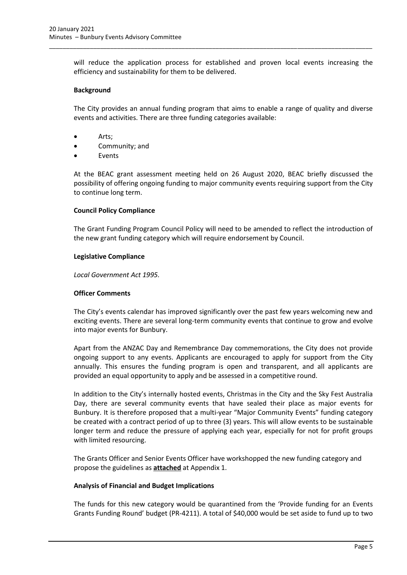will reduce the application process for established and proven local events increasing the efficiency and sustainability for them to be delivered.

\_\_\_\_\_\_\_\_\_\_\_\_\_\_\_\_\_\_\_\_\_\_\_\_\_\_\_\_\_\_\_\_\_\_\_\_\_\_\_\_\_\_\_\_\_\_\_\_\_\_\_\_\_\_\_\_\_\_\_\_\_\_\_\_\_\_\_\_\_\_\_\_\_\_\_\_\_\_\_\_\_\_\_\_\_\_\_\_\_\_\_\_\_\_\_

#### **Background**

The City provides an annual funding program that aims to enable a range of quality and diverse events and activities. There are three funding categories available:

- Arts;
- Community; and
- **Events**

At the BEAC grant assessment meeting held on 26 August 2020, BEAC briefly discussed the possibility of offering ongoing funding to major community events requiring support from the City to continue long term.

#### **Council Policy Compliance**

The Grant Funding Program Council Policy will need to be amended to reflect the introduction of the new grant funding category which will require endorsement by Council.

#### **Legislative Compliance**

*Local Government Act 1995.*

#### **Officer Comments**

The City's events calendar has improved significantly over the past few years welcoming new and exciting events. There are several long-term community events that continue to grow and evolve into major events for Bunbury.

Apart from the ANZAC Day and Remembrance Day commemorations, the City does not provide ongoing support to any events. Applicants are encouraged to apply for support from the City annually. This ensures the funding program is open and transparent, and all applicants are provided an equal opportunity to apply and be assessed in a competitive round.

In addition to the City's internally hosted events, Christmas in the City and the Sky Fest Australia Day, there are several community events that have sealed their place as major events for Bunbury. It is therefore proposed that a multi-year "Major Community Events" funding category be created with a contract period of up to three (3) years. This will allow events to be sustainable longer term and reduce the pressure of applying each year, especially for not for profit groups with limited resourcing.

The Grants Officer and Senior Events Officer have workshopped the new funding category and propose the guidelines as **attached** at Appendix 1.

#### **Analysis of Financial and Budget Implications**

The funds for this new category would be quarantined from the 'Provide funding for an Events Grants Funding Round' budget (PR-4211). A total of \$40,000 would be set aside to fund up to two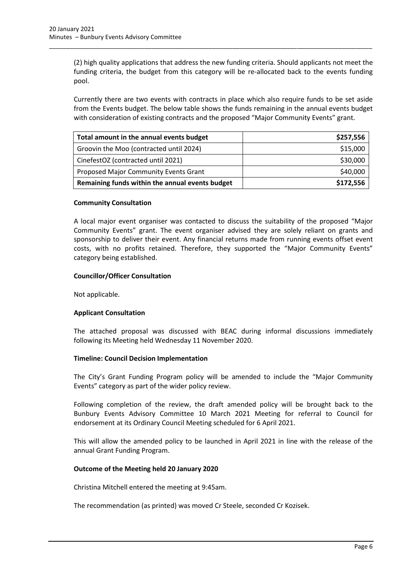(2) high quality applications that address the new funding criteria. Should applicants not meet the funding criteria, the budget from this category will be re-allocated back to the events funding pool.

\_\_\_\_\_\_\_\_\_\_\_\_\_\_\_\_\_\_\_\_\_\_\_\_\_\_\_\_\_\_\_\_\_\_\_\_\_\_\_\_\_\_\_\_\_\_\_\_\_\_\_\_\_\_\_\_\_\_\_\_\_\_\_\_\_\_\_\_\_\_\_\_\_\_\_\_\_\_\_\_\_\_\_\_\_\_\_\_\_\_\_\_\_\_\_

Currently there are two events with contracts in place which also require funds to be set aside from the Events budget. The below table shows the funds remaining in the annual events budget with consideration of existing contracts and the proposed "Major Community Events" grant.

| Total amount in the annual events budget        | \$257,556 |
|-------------------------------------------------|-----------|
| Groovin the Moo (contracted until 2024)         | \$15,000  |
| CinefestOZ (contracted until 2021)              | \$30,000  |
| Proposed Major Community Events Grant           | \$40,000  |
| Remaining funds within the annual events budget | \$172,556 |

# **Community Consultation**

A local major event organiser was contacted to discuss the suitability of the proposed "Major Community Events" grant. The event organiser advised they are solely reliant on grants and sponsorship to deliver their event. Any financial returns made from running events offset event costs, with no profits retained. Therefore, they supported the "Major Community Events" category being established.

# **Councillor/Officer Consultation**

Not applicable.

# **Applicant Consultation**

The attached proposal was discussed with BEAC during informal discussions immediately following its Meeting held Wednesday 11 November 2020.

#### **Timeline: Council Decision Implementation**

The City's Grant Funding Program policy will be amended to include the "Major Community Events" category as part of the wider policy review.

Following completion of the review, the draft amended policy will be brought back to the Bunbury Events Advisory Committee 10 March 2021 Meeting for referral to Council for endorsement at its Ordinary Council Meeting scheduled for 6 April 2021.

This will allow the amended policy to be launched in April 2021 in line with the release of the annual Grant Funding Program.

#### **Outcome of the Meeting held 20 January 2020**

Christina Mitchell entered the meeting at 9:45am.

The recommendation (as printed) was moved Cr Steele, seconded Cr Kozisek.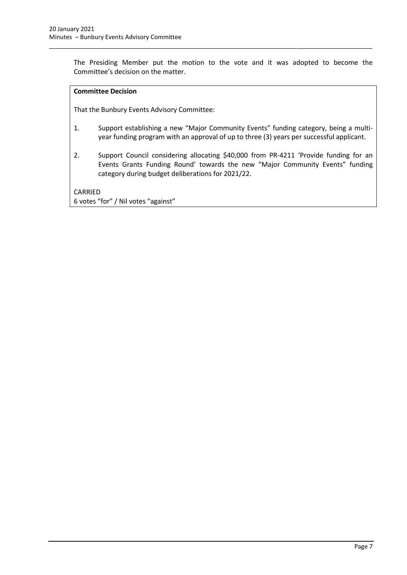The Presiding Member put the motion to the vote and it was adopted to become the Committee's decision on the matter.

\_\_\_\_\_\_\_\_\_\_\_\_\_\_\_\_\_\_\_\_\_\_\_\_\_\_\_\_\_\_\_\_\_\_\_\_\_\_\_\_\_\_\_\_\_\_\_\_\_\_\_\_\_\_\_\_\_\_\_\_\_\_\_\_\_\_\_\_\_\_\_\_\_\_\_\_\_\_\_\_\_\_\_\_\_\_\_\_\_\_\_\_\_\_\_

#### **Committee Decision**

That the Bunbury Events Advisory Committee:

- 1. Support establishing a new "Major Community Events" funding category, being a multiyear funding program with an approval of up to three (3) years per successful applicant.
- 2. Support Council considering allocating \$40,000 from PR-4211 'Provide funding for an Events Grants Funding Round' towards the new "Major Community Events" funding category during budget deliberations for 2021/22.

CARRIED 6 votes "for" / Nil votes "against"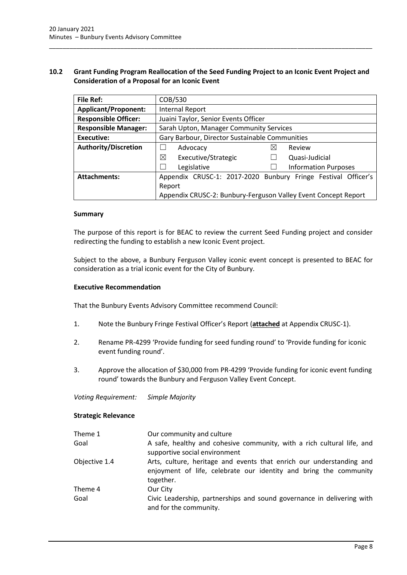# <span id="page-10-0"></span>**10.2 Grant Funding Program Reallocation of the Seed Funding Project to an Iconic Event Project and Consideration of a Proposal for an Iconic Event**

\_\_\_\_\_\_\_\_\_\_\_\_\_\_\_\_\_\_\_\_\_\_\_\_\_\_\_\_\_\_\_\_\_\_\_\_\_\_\_\_\_\_\_\_\_\_\_\_\_\_\_\_\_\_\_\_\_\_\_\_\_\_\_\_\_\_\_\_\_\_\_\_\_\_\_\_\_\_\_\_\_\_\_\_\_\_\_\_\_\_\_\_\_\_\_

| <b>File Ref:</b>            | COB/530                                                        |                                                               |
|-----------------------------|----------------------------------------------------------------|---------------------------------------------------------------|
| <b>Applicant/Proponent:</b> | Internal Report                                                |                                                               |
| <b>Responsible Officer:</b> | Juaini Taylor, Senior Events Officer                           |                                                               |
| <b>Responsible Manager:</b> | Sarah Upton, Manager Community Services                        |                                                               |
| Executive:                  | Gary Barbour, Director Sustainable Communities                 |                                                               |
| <b>Authority/Discretion</b> | Advocacy                                                       | $\boxtimes$<br>Review                                         |
|                             | ⊠<br>Executive/Strategic                                       | Quasi-Judicial                                                |
|                             | Legislative                                                    | <b>Information Purposes</b>                                   |
| <b>Attachments:</b>         |                                                                | Appendix CRUSC-1: 2017-2020 Bunbury Fringe Festival Officer's |
|                             | Report                                                         |                                                               |
|                             | Appendix CRUSC-2: Bunbury-Ferguson Valley Event Concept Report |                                                               |

#### **Summary**

The purpose of this report is for BEAC to review the current Seed Funding project and consider redirecting the funding to establish a new Iconic Event project.

Subject to the above, a Bunbury Ferguson Valley iconic event concept is presented to BEAC for consideration as a trial iconic event for the City of Bunbury.

#### **Executive Recommendation**

That the Bunbury Events Advisory Committee recommend Council:

- 1. Note the Bunbury Fringe Festival Officer's Report (**attached** at Appendix CRUSC-1).
- 2. Rename PR-4299 'Provide funding for seed funding round' to 'Provide funding for iconic event funding round'.
- 3. Approve the allocation of \$30,000 from PR-4299 'Provide funding for iconic event funding round' towards the Bunbury and Ferguson Valley Event Concept.

*Voting Requirement: Simple Majority*

#### **Strategic Relevance**

| Theme 1       | Our community and culture                                                                                                                              |
|---------------|--------------------------------------------------------------------------------------------------------------------------------------------------------|
| Goal          | A safe, healthy and cohesive community, with a rich cultural life, and<br>supportive social environment                                                |
| Objective 1.4 | Arts, culture, heritage and events that enrich our understanding and<br>enjoyment of life, celebrate our identity and bring the community<br>together. |
| Theme 4       | Our City                                                                                                                                               |
| Goal          | Civic Leadership, partnerships and sound governance in delivering with<br>and for the community.                                                       |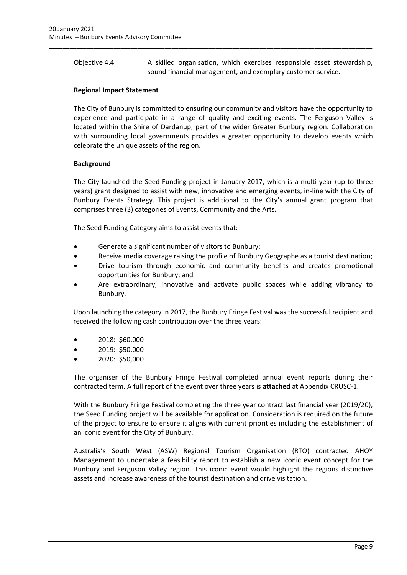Objective 4.4 A skilled organisation, which exercises responsible asset stewardship, sound financial management, and exemplary customer service.

\_\_\_\_\_\_\_\_\_\_\_\_\_\_\_\_\_\_\_\_\_\_\_\_\_\_\_\_\_\_\_\_\_\_\_\_\_\_\_\_\_\_\_\_\_\_\_\_\_\_\_\_\_\_\_\_\_\_\_\_\_\_\_\_\_\_\_\_\_\_\_\_\_\_\_\_\_\_\_\_\_\_\_\_\_\_\_\_\_\_\_\_\_\_\_

#### **Regional Impact Statement**

The City of Bunbury is committed to ensuring our community and visitors have the opportunity to experience and participate in a range of quality and exciting events. The Ferguson Valley is located within the Shire of Dardanup, part of the wider Greater Bunbury region. Collaboration with surrounding local governments provides a greater opportunity to develop events which celebrate the unique assets of the region.

# **Background**

The City launched the Seed Funding project in January 2017, which is a multi-year (up to three years) grant designed to assist with new, innovative and emerging events, in-line with the City of Bunbury Events Strategy. This project is additional to the City's annual grant program that comprises three (3) categories of Events, Community and the Arts.

The Seed Funding Category aims to assist events that:

- Generate a significant number of visitors to Bunbury;
- Receive media coverage raising the profile of Bunbury Geographe as a tourist destination;
- Drive tourism through economic and community benefits and creates promotional opportunities for Bunbury; and
- Are extraordinary, innovative and activate public spaces while adding vibrancy to Bunbury.

Upon launching the category in 2017, the Bunbury Fringe Festival was the successful recipient and received the following cash contribution over the three years:

- 2018: \$60,000
- 2019: \$50,000
- 2020: \$50,000

The organiser of the Bunbury Fringe Festival completed annual event reports during their contracted term. A full report of the event over three years is **attached** at Appendix CRUSC-1.

With the Bunbury Fringe Festival completing the three year contract last financial year (2019/20), the Seed Funding project will be available for application. Consideration is required on the future of the project to ensure to ensure it aligns with current priorities including the establishment of an iconic event for the City of Bunbury.

Australia's South West (ASW) Regional Tourism Organisation (RTO) contracted AHOY Management to undertake a feasibility report to establish a new iconic event concept for the Bunbury and Ferguson Valley region. This iconic event would highlight the regions distinctive assets and increase awareness of the tourist destination and drive visitation.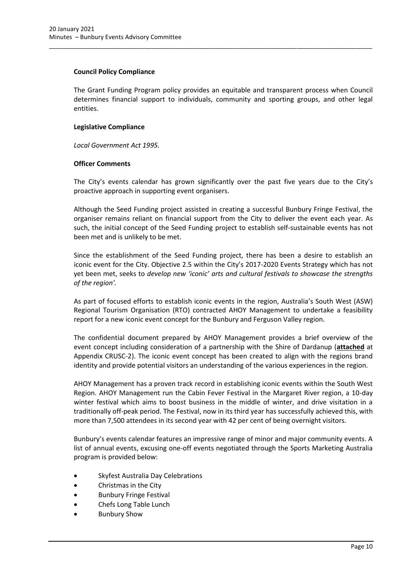#### **Council Policy Compliance**

The Grant Funding Program policy provides an equitable and transparent process when Council determines financial support to individuals, community and sporting groups, and other legal entities.

\_\_\_\_\_\_\_\_\_\_\_\_\_\_\_\_\_\_\_\_\_\_\_\_\_\_\_\_\_\_\_\_\_\_\_\_\_\_\_\_\_\_\_\_\_\_\_\_\_\_\_\_\_\_\_\_\_\_\_\_\_\_\_\_\_\_\_\_\_\_\_\_\_\_\_\_\_\_\_\_\_\_\_\_\_\_\_\_\_\_\_\_\_\_\_

# **Legislative Compliance**

*Local Government Act 1995.*

# **Officer Comments**

The City's events calendar has grown significantly over the past five years due to the City's proactive approach in supporting event organisers.

Although the Seed Funding project assisted in creating a successful Bunbury Fringe Festival, the organiser remains reliant on financial support from the City to deliver the event each year. As such, the initial concept of the Seed Funding project to establish self-sustainable events has not been met and is unlikely to be met.

Since the establishment of the Seed Funding project, there has been a desire to establish an iconic event for the City. Objective 2.5 within the City's 2017-2020 Events Strategy which has not yet been met, seeks to *develop new 'iconic' arts and cultural festivals to showcase the strengths of the region'.*

As part of focused efforts to establish iconic events in the region, Australia's South West (ASW) Regional Tourism Organisation (RTO) contracted AHOY Management to undertake a feasibility report for a new iconic event concept for the Bunbury and Ferguson Valley region.

The confidential document prepared by AHOY Management provides a brief overview of the event concept including consideration of a partnership with the Shire of Dardanup (**attached** at Appendix CRUSC-2). The iconic event concept has been created to align with the regions brand identity and provide potential visitors an understanding of the various experiences in the region.

AHOY Management has a proven track record in establishing iconic events within the South West Region. AHOY Management run the Cabin Fever Festival in the Margaret River region, a 10-day winter festival which aims to boost business in the middle of winter, and drive visitation in a traditionally off-peak period. The Festival, now in its third year has successfully achieved this, with more than 7,500 attendees in its second year with 42 per cent of being overnight visitors.

Bunbury's events calendar features an impressive range of minor and major community events. A list of annual events, excusing one-off events negotiated through the Sports Marketing Australia program is provided below:

- Skyfest Australia Day Celebrations
- Christmas in the City
- Bunbury Fringe Festival
- Chefs Long Table Lunch
- Bunbury Show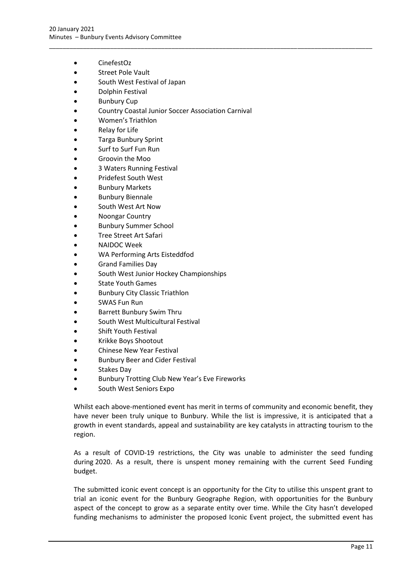- CinefestOz
- Street Pole Vault
- South West Festival of Japan
- Dolphin Festival
- **Bunbury Cup**
- Country Coastal Junior Soccer Association Carnival

\_\_\_\_\_\_\_\_\_\_\_\_\_\_\_\_\_\_\_\_\_\_\_\_\_\_\_\_\_\_\_\_\_\_\_\_\_\_\_\_\_\_\_\_\_\_\_\_\_\_\_\_\_\_\_\_\_\_\_\_\_\_\_\_\_\_\_\_\_\_\_\_\_\_\_\_\_\_\_\_\_\_\_\_\_\_\_\_\_\_\_\_\_\_\_

- Women's Triathlon
- **Relay for Life**
- Targa Bunbury Sprint
- Surf to Surf Fun Run
- Groovin the Moo
- 3 Waters Running Festival
- Pridefest South West
- Bunbury Markets
- **Bunbury Biennale**
- South West Art Now
- Noongar Country
- Bunbury Summer School
- Tree Street Art Safari
- NAIDOC Week
- WA Performing Arts Eisteddfod
- Grand Families Day
- South West Junior Hockey Championships
- State Youth Games
- Bunbury City Classic Triathlon
- SWAS Fun Run
- Barrett Bunbury Swim Thru
- South West Multicultural Festival
- Shift Youth Festival
- Krikke Boys Shootout
- Chinese New Year Festival
- Bunbury Beer and Cider Festival
- Stakes Day
- Bunbury Trotting Club New Year's Eve Fireworks
- South West Seniors Expo

Whilst each above-mentioned event has merit in terms of community and economic benefit, they have never been truly unique to Bunbury. While the list is impressive, it is anticipated that a growth in event standards, appeal and sustainability are key catalysts in attracting tourism to the region.

As a result of COVID-19 restrictions, the City was unable to administer the seed funding during 2020. As a result, there is unspent money remaining with the current Seed Funding budget.

The submitted iconic event concept is an opportunity for the City to utilise this unspent grant to trial an iconic event for the Bunbury Geographe Region, with opportunities for the Bunbury aspect of the concept to grow as a separate entity over time. While the City hasn't developed funding mechanisms to administer the proposed Iconic Event project, the submitted event has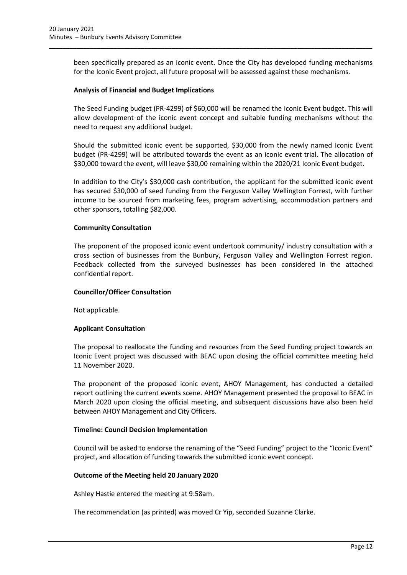been specifically prepared as an iconic event. Once the City has developed funding mechanisms for the Iconic Event project, all future proposal will be assessed against these mechanisms.

\_\_\_\_\_\_\_\_\_\_\_\_\_\_\_\_\_\_\_\_\_\_\_\_\_\_\_\_\_\_\_\_\_\_\_\_\_\_\_\_\_\_\_\_\_\_\_\_\_\_\_\_\_\_\_\_\_\_\_\_\_\_\_\_\_\_\_\_\_\_\_\_\_\_\_\_\_\_\_\_\_\_\_\_\_\_\_\_\_\_\_\_\_\_\_

#### **Analysis of Financial and Budget Implications**

The Seed Funding budget (PR-4299) of \$60,000 will be renamed the Iconic Event budget. This will allow development of the iconic event concept and suitable funding mechanisms without the need to request any additional budget.

Should the submitted iconic event be supported, \$30,000 from the newly named Iconic Event budget (PR-4299) will be attributed towards the event as an iconic event trial. The allocation of \$30,000 toward the event, will leave \$30,00 remaining within the 2020/21 Iconic Event budget.

In addition to the City's \$30,000 cash contribution, the applicant for the submitted iconic event has secured \$30,000 of seed funding from the Ferguson Valley Wellington Forrest, with further income to be sourced from marketing fees, program advertising, accommodation partners and other sponsors, totalling \$82,000.

#### **Community Consultation**

The proponent of the proposed iconic event undertook community/ industry consultation with a cross section of businesses from the Bunbury, Ferguson Valley and Wellington Forrest region. Feedback collected from the surveyed businesses has been considered in the attached confidential report.

#### **Councillor/Officer Consultation**

Not applicable.

#### **Applicant Consultation**

The proposal to reallocate the funding and resources from the Seed Funding project towards an Iconic Event project was discussed with BEAC upon closing the official committee meeting held 11 November 2020.

The proponent of the proposed iconic event, AHOY Management, has conducted a detailed report outlining the current events scene. AHOY Management presented the proposal to BEAC in March 2020 upon closing the official meeting, and subsequent discussions have also been held between AHOY Management and City Officers.

#### **Timeline: Council Decision Implementation**

Council will be asked to endorse the renaming of the "Seed Funding" project to the "Iconic Event" project, and allocation of funding towards the submitted iconic event concept.

#### **Outcome of the Meeting held 20 January 2020**

Ashley Hastie entered the meeting at 9:58am.

The recommendation (as printed) was moved Cr Yip, seconded Suzanne Clarke.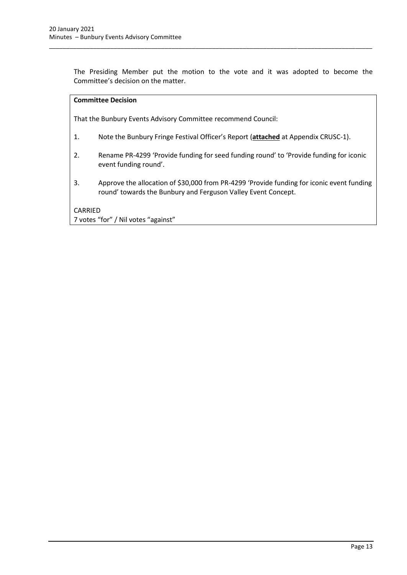The Presiding Member put the motion to the vote and it was adopted to become the Committee's decision on the matter.

\_\_\_\_\_\_\_\_\_\_\_\_\_\_\_\_\_\_\_\_\_\_\_\_\_\_\_\_\_\_\_\_\_\_\_\_\_\_\_\_\_\_\_\_\_\_\_\_\_\_\_\_\_\_\_\_\_\_\_\_\_\_\_\_\_\_\_\_\_\_\_\_\_\_\_\_\_\_\_\_\_\_\_\_\_\_\_\_\_\_\_\_\_\_\_

That the Bunbury Events Advisory Committee recommend Council:

- 1. Note the Bunbury Fringe Festival Officer's Report (**attached** at Appendix CRUSC-1).
- 2. Rename PR-4299 'Provide funding for seed funding round' to 'Provide funding for iconic event funding round'.
- 3. Approve the allocation of \$30,000 from PR-4299 'Provide funding for iconic event funding round' towards the Bunbury and Ferguson Valley Event Concept.

#### CARRIED

7 votes "for" / Nil votes "against"